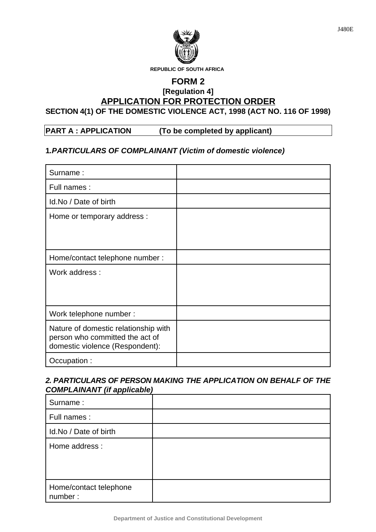

### **FORM 2 [Regulation 4] APPLICATION FOR PROTECTION ORDER SECTION 4(1) OF THE DOMESTIC VIOLENCE ACT, 1998 (ACT NO. 116 OF 1998)**

# **PART A : APPLICATION (To be completed by applicant)**

### **1***.PARTICULARS OF COMPLAINANT (Victim of domestic violence)*

| Surname:                                                                                                   |  |
|------------------------------------------------------------------------------------------------------------|--|
| Full names :                                                                                               |  |
| Id.No / Date of birth                                                                                      |  |
| Home or temporary address :                                                                                |  |
| Home/contact telephone number:                                                                             |  |
| Work address:                                                                                              |  |
| Work telephone number:                                                                                     |  |
| Nature of domestic relationship with<br>person who committed the act of<br>domestic violence (Respondent): |  |
| Occupation:                                                                                                |  |

#### *2. PARTICULARS OF PERSON MAKING THE APPLICATION ON BEHALF OF THE COMPLAINANT (if applicable)*

| -- - -                            |  |
|-----------------------------------|--|
| Surname:                          |  |
| Full names :                      |  |
| Id.No / Date of birth             |  |
| Home address :                    |  |
| Home/contact telephone<br>number: |  |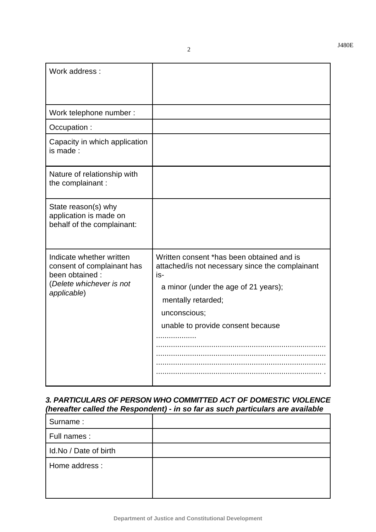11 2

#### *3. PARTICULARS OF PERSON WHO COMMITTED ACT OF DOMESTIC VIOLENCE (hereafter called the Respondent) - in so far as such particulars are available*

| Surname:              |  |
|-----------------------|--|
| Full names :          |  |
| Id.No / Date of birth |  |
| Home address :        |  |
|                       |  |
|                       |  |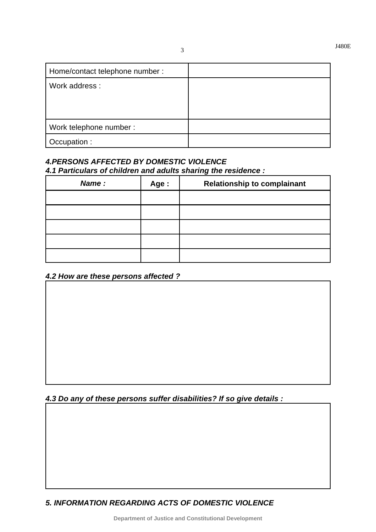| Home/contact telephone number : |  |
|---------------------------------|--|
| Work address:                   |  |
|                                 |  |
|                                 |  |
| Work telephone number :         |  |
| Occupation :                    |  |

## *4.PERSONS AFFECTED BY DOMESTIC VIOLENCE 4.1 Particulars of children and adults sharing the residence :*

| Name: | Age : | <b>Relationship to complainant</b> |
|-------|-------|------------------------------------|
|       |       |                                    |
|       |       |                                    |
|       |       |                                    |
|       |       |                                    |
|       |       |                                    |

#### *4.2 How are these persons affected ?*

## *4.3 Do any of these persons suffer disabilities? If so give details :*

*5. INFORMATION REGARDING ACTS OF DOMESTIC VIOLENCE*

**Department of Justice and Constitutional Development**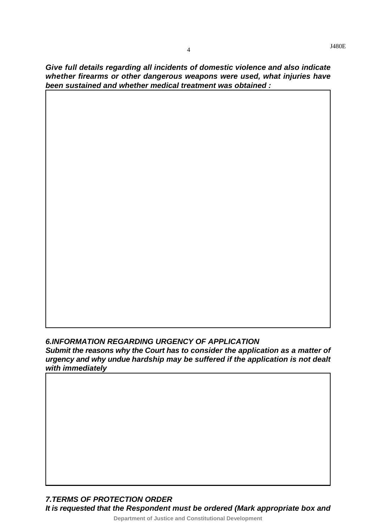*Give full details regarding all incidents of domestic violence and also indicate whether firearms or other dangerous weapons were used, what injuries have been sustained and whether medical treatment was obtained :*

# *6.INFORMATION REGARDING URGENCY OF APPLICATION*

*Submit the reasons why the Court has to consider the application as a matter of urgency and why undue hardship may be suffered if the application is not dealt with immediately*

*7.TERMS OF PROTECTION ORDER*

*It is requested that the Respondent must be ordered (Mark appropriate box and*

**Department of Justice and Constitutional Development**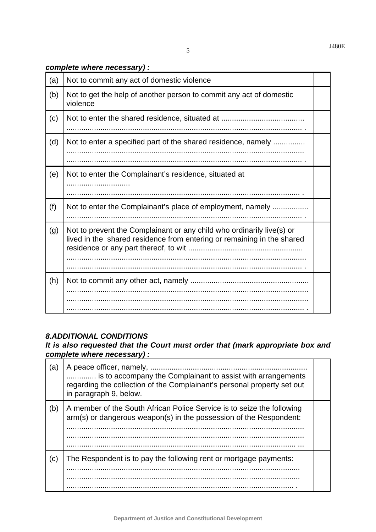#### *complete where necessary) :*

| (a) | Not to commit any act of domestic violence                                                                                                      |  |
|-----|-------------------------------------------------------------------------------------------------------------------------------------------------|--|
| (b) | Not to get the help of another person to commit any act of domestic<br>violence                                                                 |  |
| (c) |                                                                                                                                                 |  |
| (d) | Not to enter a specified part of the shared residence, namely                                                                                   |  |
| (e) | Not to enter the Complainant's residence, situated at                                                                                           |  |
| (f) | Not to enter the Complainant's place of employment, namely                                                                                      |  |
| (g) | Not to prevent the Complainant or any child who ordinarily live(s) or<br>lived in the shared residence from entering or remaining in the shared |  |
| (h) |                                                                                                                                                 |  |

#### *8.ADDITIONAL CONDITIONS*

### *It is also requested that the Court must order that (mark appropriate box and complete where necessary) :*

| (a) | A peace officer, namely,<br>is to accompany the Complainant to assist with arrangements<br>regarding the collection of the Complainant's personal property set out<br>in paragraph 9, below. |  |
|-----|----------------------------------------------------------------------------------------------------------------------------------------------------------------------------------------------|--|
| (b) | A member of the South African Police Service is to seize the following<br>arm(s) or dangerous weapon(s) in the possession of the Respondent:                                                 |  |
| (c) | The Respondent is to pay the following rent or mortgage payments:                                                                                                                            |  |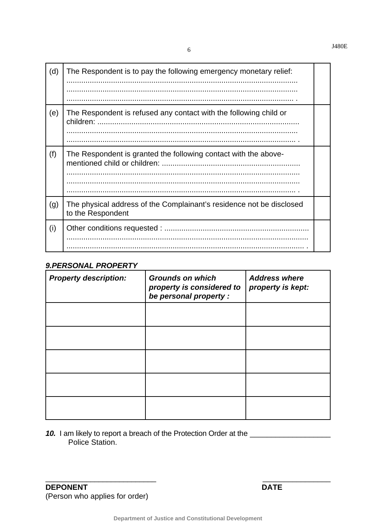| (d) | The Respondent is to pay the following emergency monetary relief:                         |  |
|-----|-------------------------------------------------------------------------------------------|--|
| (e) | The Respondent is refused any contact with the following child or                         |  |
| (f) | The Respondent is granted the following contact with the above-                           |  |
| (g) | The physical address of the Complainant's residence not be disclosed<br>to the Respondent |  |
| (i) | .                                                                                         |  |

## **9.PERSONAL PROPERTY**

| <b>Property description:</b> | <b>Grounds on which</b><br>property is considered to<br>be personal property : | <b>Address where</b><br>property is kept: |
|------------------------------|--------------------------------------------------------------------------------|-------------------------------------------|
|                              |                                                                                |                                           |
|                              |                                                                                |                                           |
|                              |                                                                                |                                           |
|                              |                                                                                |                                           |
|                              |                                                                                |                                           |

10. I am likely to report a breach of the Protection Order at the \_\_\_\_\_\_\_\_\_\_\_\_\_\_<br>Police Station.